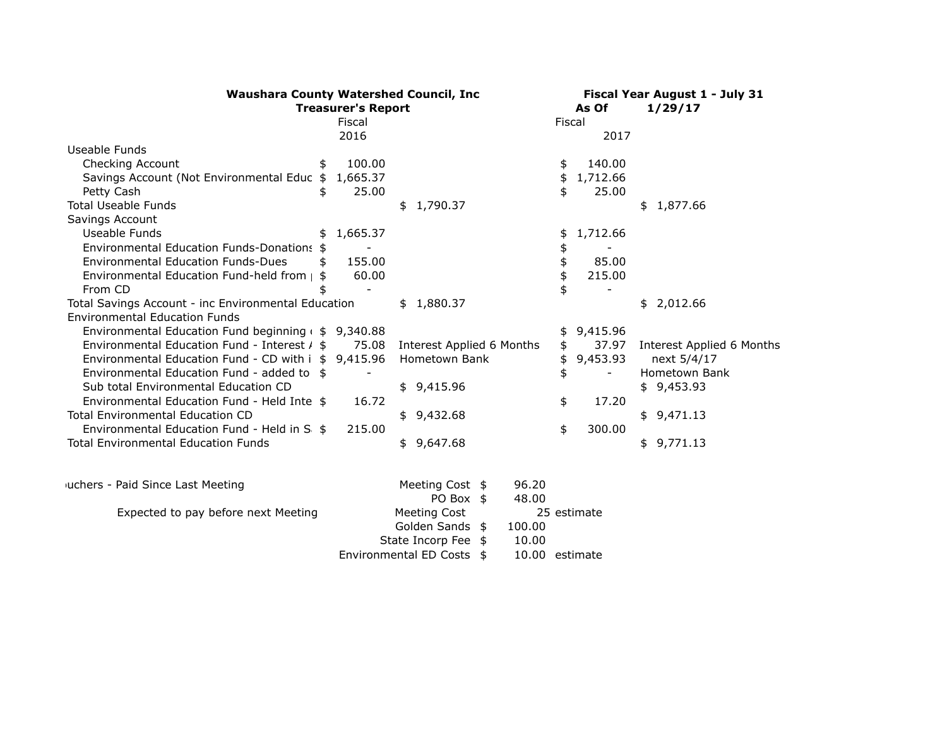| <b>Waushara County Watershed Council, Inc</b>          | Fiscal Year August 1 - July 31 |                              |                |                           |  |
|--------------------------------------------------------|--------------------------------|------------------------------|----------------|---------------------------|--|
|                                                        | <b>Treasurer's Report</b>      |                              |                |                           |  |
|                                                        | Fiscal                         |                              | Fiscal         |                           |  |
|                                                        | 2016                           |                              | 2017           |                           |  |
| Useable Funds                                          |                                |                              |                |                           |  |
| Checking Account<br>\$                                 | 100.00                         |                              | 140.00<br>\$   |                           |  |
| Savings Account (Not Environmental Educ \$             | 1,665.37                       |                              | 1,712.66<br>\$ |                           |  |
| Petty Cash<br>\$                                       | 25.00                          |                              | \$<br>25.00    |                           |  |
| <b>Total Useable Funds</b>                             |                                | \$1,790.37                   |                | \$1,877.66                |  |
| Savings Account                                        |                                |                              |                |                           |  |
| Useable Funds<br>\$                                    | 1,665.37                       |                              | 1,712.66<br>\$ |                           |  |
| <b>Environmental Education Funds-Donations</b>         |                                |                              | \$             |                           |  |
| <b>Environmental Education Funds-Dues</b><br>\$        | 155.00                         |                              | \$<br>85.00    |                           |  |
| Environmental Education Fund-held from   \$            | 60.00                          |                              | \$<br>215.00   |                           |  |
| From CD<br>\$                                          |                                |                              | \$             |                           |  |
| Total Savings Account - inc Environmental Education    |                                | \$1,880.37                   |                | \$2,012.66                |  |
| <b>Environmental Education Funds</b>                   |                                |                              |                |                           |  |
| Environmental Education Fund beginning $($ \$ 9,340.88 |                                |                              | 9,415.96<br>\$ |                           |  |
| Environmental Education Fund - Interest / \$           | 75.08                          | Interest Applied 6 Months    | 37.97<br>\$    | Interest Applied 6 Months |  |
| Environmental Education Fund - CD with i \$ 9,415.96   |                                | Hometown Bank                | \$<br>9,453.93 | next 5/4/17               |  |
| Environmental Education Fund - added to \$             |                                |                              | \$             | Hometown Bank             |  |
| Sub total Environmental Education CD                   |                                | \$9,415.96                   |                | \$9,453.93                |  |
| Environmental Education Fund - Held Inte \$            | 16.72                          |                              | \$<br>17.20    |                           |  |
| <b>Total Environmental Education CD</b>                |                                | \$9,432.68                   |                | \$9,471.13                |  |
| Environmental Education Fund - Held in S: \$           | 215.00                         |                              | \$<br>300.00   |                           |  |
| <b>Total Environmental Education Funds</b>             |                                | \$9,647.68                   |                | \$9,771.13                |  |
|                                                        |                                |                              |                |                           |  |
| iuchers - Paid Since Last Meeting                      |                                | 96.20<br>Meeting Cost \$     |                |                           |  |
|                                                        |                                | PO Box \$<br>48.00           |                |                           |  |
| Expected to pay before next Meeting                    |                                | <b>Meeting Cost</b>          | 25 estimate    |                           |  |
|                                                        |                                | Golden Sands \$<br>100.00    |                |                           |  |
|                                                        |                                | State Incorp Fee \$<br>10.00 |                |                           |  |
|                                                        |                                | Environmental ED Costs \$    | 10.00 estimate |                           |  |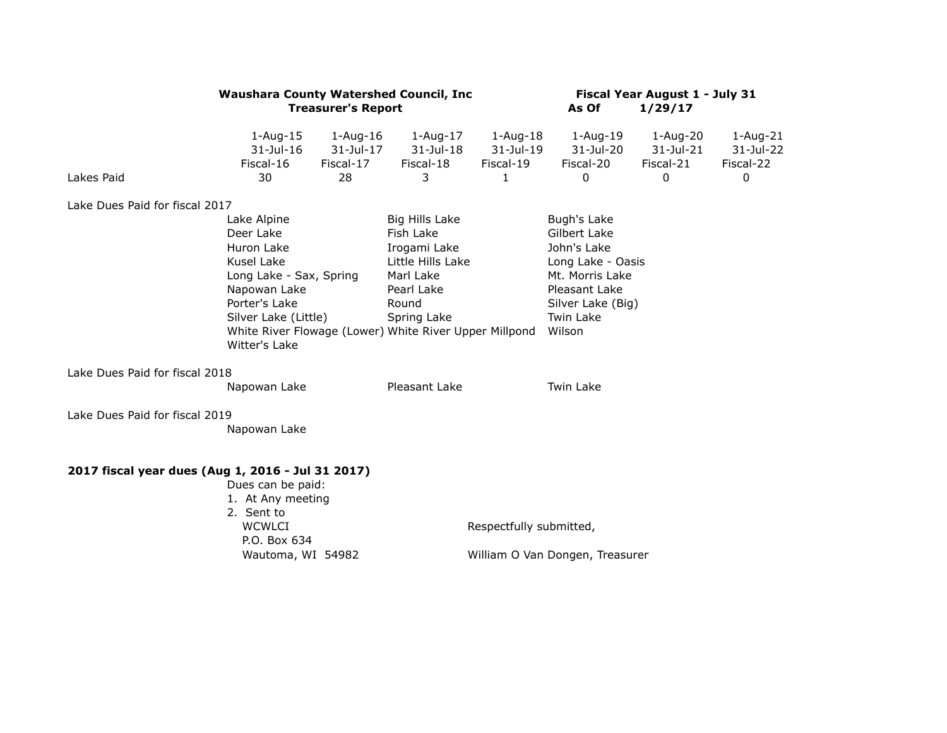|                                                   | <b>Waushara County Watershed Council, Inc.</b>                                                                                                            | <b>Treasurer's Report</b>                    |                                                                                                                                                                               | Fiscal Year August 1 - July 31<br>As Of<br>1/29/17   |                                                                                                                                                 |                                         |                                             |
|---------------------------------------------------|-----------------------------------------------------------------------------------------------------------------------------------------------------------|----------------------------------------------|-------------------------------------------------------------------------------------------------------------------------------------------------------------------------------|------------------------------------------------------|-------------------------------------------------------------------------------------------------------------------------------------------------|-----------------------------------------|---------------------------------------------|
| Lakes Paid                                        | $1 - Aug-15$<br>$31$ -Jul-16<br>Fiscal-16<br>30                                                                                                           | $1 - Aug-16$<br>31-Jul-17<br>Fiscal-17<br>28 | $1 - Aug-17$<br>$31$ -Jul-18<br>Fiscal-18<br>3                                                                                                                                | $1-Aug-18$<br>31-Jul-19<br>Fiscal-19<br>$\mathbf{1}$ | $1 - Aug-19$<br>31-Jul-20<br>Fiscal-20<br>$\Omega$                                                                                              | 1-Aug-20<br>31-Jul-21<br>Fiscal-21<br>0 | $1 - Aug-21$<br>31-Jul-22<br>Fiscal-22<br>0 |
| Lake Dues Paid for fiscal 2017                    |                                                                                                                                                           |                                              |                                                                                                                                                                               |                                                      |                                                                                                                                                 |                                         |                                             |
|                                                   | Lake Alpine<br>Deer Lake<br>Huron Lake<br>Kusel Lake<br>Long Lake - Sax, Spring<br>Napowan Lake<br>Porter's Lake<br>Silver Lake (Little)<br>Witter's Lake |                                              | Big Hills Lake<br>Fish Lake<br>Irogami Lake<br>Little Hills Lake<br>Marl Lake<br>Pearl Lake<br>Round<br>Spring Lake<br>White River Flowage (Lower) White River Upper Millpond |                                                      | Bugh's Lake<br>Gilbert Lake<br>John's Lake<br>Long Lake - Oasis<br>Mt. Morris Lake<br>Pleasant Lake<br>Silver Lake (Big)<br>Twin Lake<br>Wilson |                                         |                                             |
| Lake Dues Paid for fiscal 2018                    | Napowan Lake                                                                                                                                              |                                              | Pleasant Lake                                                                                                                                                                 |                                                      | Twin Lake                                                                                                                                       |                                         |                                             |
| Lake Dues Paid for fiscal 2019                    | Napowan Lake                                                                                                                                              |                                              |                                                                                                                                                                               |                                                      |                                                                                                                                                 |                                         |                                             |
| 2017 fiscal year dues (Aug 1, 2016 - Jul 31 2017) | Dues can be paid:<br>1. At Any meeting<br>2. Sent to<br><b>WCWLCI</b><br>P.O. Box 634<br>Wautoma, WI 54982                                                |                                              |                                                                                                                                                                               | Respectfully submitted,                              | William O Van Dongen, Treasurer                                                                                                                 |                                         |                                             |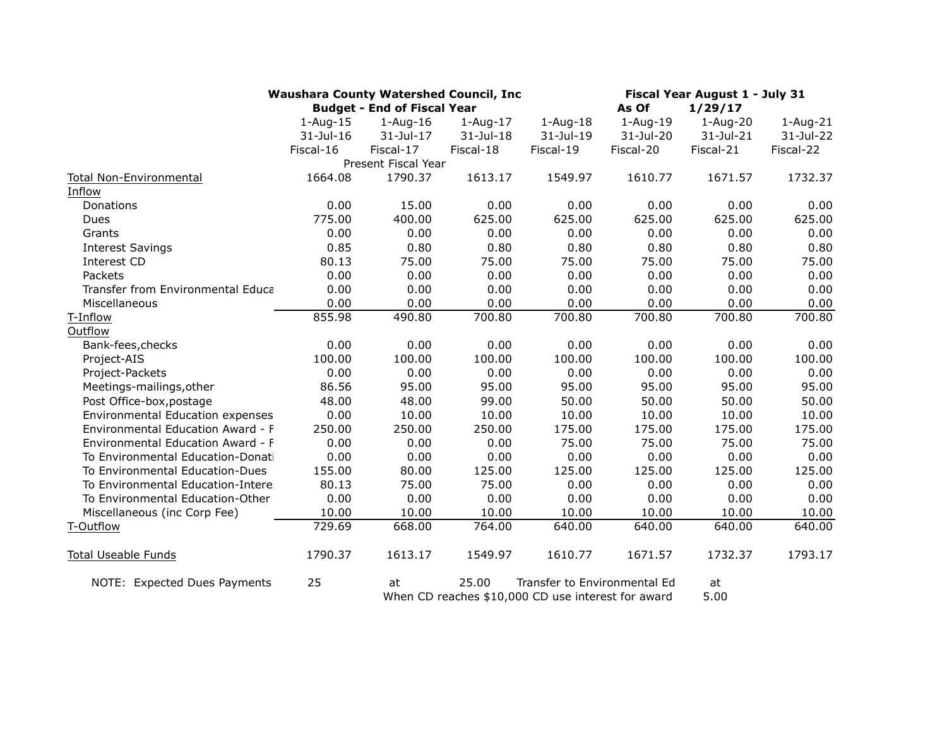|                                                            | <b>Waushara County Watershed Council, Inc.</b> |                                    |              |                              | Fiscal Year August 1 - July 31 |                  |           |  |
|------------------------------------------------------------|------------------------------------------------|------------------------------------|--------------|------------------------------|--------------------------------|------------------|-----------|--|
|                                                            |                                                | <b>Budget - End of Fiscal Year</b> |              | As Of<br>1/29/17             |                                |                  |           |  |
|                                                            | $1-Auq-15$                                     | $1 - Aug-16$                       | $1 - Aug-17$ | $1-Aug-18$                   | $1-Aug-19$                     | $1 - Aug-20$     | 1-Aug-21  |  |
|                                                            | $31$ -Jul-16                                   | $31 -$ Jul $-17$                   | 31-Jul-18    | 31-Jul-19                    | 31-Jul-20                      | $31 -$ Jul $-21$ | 31-Jul-22 |  |
|                                                            | Fiscal-16                                      | Fiscal-17                          | Fiscal-18    | Fiscal-19                    | Fiscal-20                      | Fiscal-21        | Fiscal-22 |  |
|                                                            |                                                | Present Fiscal Year                |              |                              |                                |                  |           |  |
| Total Non-Environmental                                    | 1664.08                                        | 1790.37                            | 1613.17      | 1549.97                      | 1610.77                        | 1671.57          | 1732.37   |  |
| Inflow                                                     |                                                |                                    |              |                              |                                |                  |           |  |
| Donations                                                  | 0.00                                           | 15.00                              | 0.00         | 0.00                         | 0.00                           | 0.00             | 0.00      |  |
| Dues                                                       | 775.00                                         | 400.00                             | 625.00       | 625.00                       | 625.00                         | 625.00           | 625.00    |  |
| Grants                                                     | 0.00                                           | 0.00                               | 0.00         | 0.00                         | 0.00                           | 0.00             | 0.00      |  |
| <b>Interest Savings</b>                                    | 0.85                                           | 0.80                               | 0.80         | 0.80                         | 0.80                           | 0.80             | 0.80      |  |
| Interest CD                                                | 80.13                                          | 75.00                              | 75.00        | 75.00                        | 75.00                          | 75.00            | 75.00     |  |
| Packets                                                    | 0.00                                           | 0.00                               | 0.00         | 0.00                         | 0.00                           | 0.00             | 0.00      |  |
| Transfer from Environmental Educa                          | 0.00                                           | 0.00                               | 0.00         | 0.00                         | 0.00                           | 0.00             | 0.00      |  |
| Miscellaneous                                              | 0.00                                           | 0.00                               | 0.00         | 0.00                         | 0.00                           | 0.00             | 0.00      |  |
| T-Inflow                                                   | 855.98                                         | 490.80                             | 700.80       | 700.80                       | 700.80                         | 700.80           | 700.80    |  |
| Outflow                                                    |                                                |                                    |              |                              |                                |                  |           |  |
| Bank-fees, checks                                          | 0.00                                           | 0.00                               | 0.00         | 0.00                         | 0.00                           | 0.00             | 0.00      |  |
| Project-AIS                                                | 100.00                                         | 100.00                             | 100.00       | 100.00                       | 100.00                         | 100.00           | 100.00    |  |
| Project-Packets                                            | 0.00                                           | 0.00                               | 0.00         | 0.00                         | 0.00                           | 0.00             | 0.00      |  |
| Meetings-mailings, other                                   | 86.56                                          | 95.00                              | 95.00        | 95.00                        | 95.00                          | 95.00            | 95.00     |  |
| Post Office-box, postage                                   | 48.00                                          | 48.00                              | 99.00        | 50.00                        | 50.00                          | 50.00            | 50.00     |  |
| Environmental Education expenses                           | 0.00                                           | 10.00                              | 10.00        | 10.00                        | 10.00                          | 10.00            | 10.00     |  |
| Environmental Education Award - F                          | 250.00                                         | 250.00                             | 250.00       | 175.00                       | 175.00                         | 175.00           | 175.00    |  |
| Environmental Education Award - F                          | 0.00                                           | 0.00                               | 0.00         | 75.00                        | 75.00                          | 75.00            | 75.00     |  |
| To Environmental Education-Donati                          | 0.00                                           | 0.00                               | 0.00         | 0.00                         | 0.00                           | 0.00             | 0.00      |  |
| To Environmental Education-Dues                            | 155.00                                         | 80.00                              | 125.00       | 125.00                       | 125.00                         | 125.00           | 125.00    |  |
| To Environmental Education-Intere:                         | 80.13                                          | 75.00                              | 75.00        | 0.00                         | 0.00                           | 0.00             | 0.00      |  |
| To Environmental Education-Other                           | 0.00                                           | 0.00                               | 0.00         | 0.00                         | 0.00                           | 0.00             | 0.00      |  |
| Miscellaneous (inc Corp Fee)                               | 10.00                                          | 10.00                              | 10.00        | 10.00                        | 10.00                          | 10.00            | 10.00     |  |
| T-Outflow                                                  | 729.69                                         | 668.00                             | 764.00       | 640.00                       | 640.00                         | 640.00           | 640.00    |  |
| <b>Total Useable Funds</b>                                 | 1790.37                                        | 1613.17                            | 1549.97      | 1610.77                      | 1671.57                        | 1732.37          | 1793.17   |  |
| NOTE: Expected Dues Payments                               | 25                                             | at                                 | 25.00        | Transfer to Environmental Ed |                                | at               |           |  |
| 5.00<br>When CD reaches \$10,000 CD use interest for award |                                                |                                    |              |                              |                                |                  |           |  |